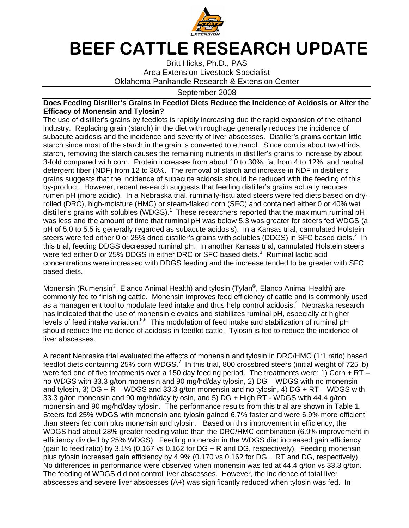

## BEEF CATTLE RESEARCH UPDATE

Britt Hicks, Ph.D., PAS Area Extension Livestock Specialist Oklahoma Panhandle Research & Extension Center

## September 2008

## **Does Feeding Distiller's Grains in Feedlot Diets Reduce the Incidence of Acidosis or Alter the Efficacy of Monensin and Tylosin?**

The use of distiller's grains by feedlots is rapidly increasing due the rapid expansion of the ethanol industry. Replacing grain (starch) in the diet with roughage generally reduces the incidence of subacute acidosis and the incidence and severity of liver abscesses. Distiller's grains contain little starch since most of the starch in the grain is converted to ethanol. Since corn is about two-thirds starch, removing the starch causes the remaining nutrients in distiller's grains to increase by about 3-fold compared with corn. Protein increases from about 10 to 30%, fat from 4 to 12%, and neutral detergent fiber (NDF) from 12 to 36%. The removal of starch and increase in NDF in distiller's grains suggests that the incidence of subacute acidosis should be reduced with the feeding of this by-product. However, recent research suggests that feeding distiller's grains actually reduces rumen pH (more acidic). In a Nebraska trial, ruminally-fistulated steers were fed diets based on dryrolled (DRC), high-moisture (HMC) or steam-flaked corn (SFC) and contained either 0 or 40% wet distiller's grains with solubles (WDGS).<sup>1</sup> These researchers reported that the maximum ruminal pH was less and the amount of time that ruminal pH was below 5.3 was greater for steers fed WDGS (a pH of 5.0 to 5.5 is generally regarded as subacute acidosis). In a Kansas trial, cannulated Holstein steers were fed either 0 or 25% dried distiller's grains with solubles (DDGS) in SFC based diets.<sup>2</sup> In this trial, feeding DDGS decreased ruminal pH. In another Kansas trial, cannulated Holstein steers were fed either 0 or 25% DDGS in either DRC or SFC based diets.<sup>3</sup> Ruminal lactic acid concentrations were increased with DDGS feeding and the increase tended to be greater with SFC based diets.

Monensin (Rumensin®, Elanco Animal Health) and tylosin (Tylan®, Elanco Animal Health) are commonly fed to finishing cattle. Monensin improves feed efficiency of cattle and is commonly used as a management tool to modulate feed intake and thus help control acidosis.<sup>4</sup> Nebraska research has indicated that the use of monensin elevates and stabilizes ruminal pH, especially at higher levels of feed intake variation.<sup>5,6</sup> This modulation of feed intake and stabilization of ruminal pH should reduce the incidence of acidosis in feedlot cattle. Tylosin is fed to reduce the incidence of liver abscesses.

A recent Nebraska trial evaluated the effects of monensin and tylosin in DRC/HMC (1:1 ratio) based feedlot diets containing 25% corn WDGS.<sup>7</sup> In this trial, 800 crossbred steers (initial weight of 725 lb) were fed one of five treatments over a 150 day feeding period. The treatments were: 1) Corn + RT no WDGS with 33.3 g/ton monensin and 90 mg/hd/day tylosin, 2) DG – WDGS with no monensin and tylosin, 3) DG + R – WDGS and 33.3  $q$ /ton monensin and no tylosin, 4) DG + RT – WDGS with 33.3 g/ton monensin and 90 mg/hd/day tylosin, and 5) DG + High RT - WDGS with 44.4 g/ton monensin and 90 mg/hd/day tylosin. The performance results from this trial are shown in Table 1. Steers fed 25% WDGS with monensin and tylosin gained 6.7% faster and were 6.9% more efficient than steers fed corn plus monensin and tylosin. Based on this improvement in efficiency, the WDGS had about 28% greater feeding value than the DRC/HMC combination (6.9% improvement in efficiency divided by 25% WDGS). Feeding monensin in the WDGS diet increased gain efficiency (gain to feed ratio) by 3.1% (0.167 vs 0.162 for DG + R and DG, respectively). Feeding monensin plus tylosin increased gain efficiency by 4.9% (0.170 vs 0.162 for DG + RT and DG, respectively). No differences in performance were observed when monensin was fed at 44.4 g/ton vs 33.3 g/ton. The feeding of WDGS did not control liver abscesses. However, the incidence of total liver abscesses and severe liver abscesses (A+) was significantly reduced when tylosin was fed. In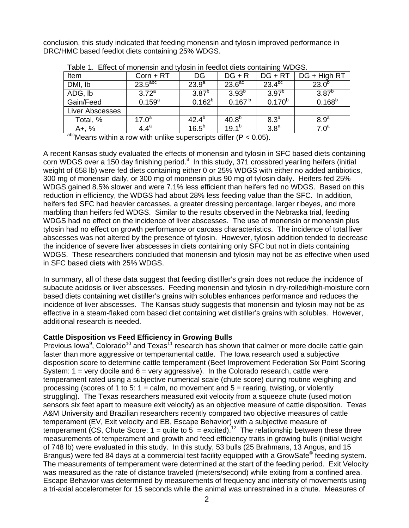conclusion, this study indicated that feeding monensin and tylosin improved performance in DRC/HMC based feedlot diets containing 25% WDGS.

| Item            | $Corn + RT$           | DG          | $DG + R$           | $DG + RT$        | DG + High RT     |
|-----------------|-----------------------|-------------|--------------------|------------------|------------------|
| DMI, lb         | $23.5$ <sup>abc</sup> | $23.9^{a}$  | 23.6 <sup>ac</sup> | $23.4^{bc}$      | $23.0^{b}$       |
| ADG, Ib         | $3.72^a$              | $3.87^{b}$  | $3.93^{b}$         | $3.97^{b}$       | $3.87^{b}$       |
| Gain/Feed       | $0.159^{a}$           | $0.162^{b}$ | $0.167^{b}$        | $0.170^{b}$      | $0.168^{b}$      |
| Liver Abscesses |                       |             |                    |                  |                  |
| Total, %        | $17.0^a$              | $42.4^{b}$  | 40.8 <sup>b</sup>  | 8.3 <sup>a</sup> | 8.9 <sup>a</sup> |
| $A +, %$        | $4.4^a$               | $16.5^{b}$  | $19.1^{b}$         | 3.8 <sup>a</sup> | $7.0^{\rm a}$    |

Table 1. Effect of monensin and tylosin in feedlot diets containing WDGS.

 $a$ <sup>bc</sup>Means within a row with unlike superscripts differ (P < 0.05).

A recent Kansas study evaluated the effects of monensin and tylosin in SFC based diets containing corn WDGS over a 150 day finishing period. $8\,$  In this study, 371 crossbred yearling heifers (initial weight of 658 lb) were fed diets containing either 0 or 25% WDGS with either no added antibiotics, 300 mg of monensin daily, or 300 mg of monensin plus 90 mg of tylosin daily. Heifers fed 25% WDGS gained 8.5% slower and were 7.1% less efficient than heifers fed no WDGS. Based on this reduction in efficiency, the WDGS had about 28% less feeding value than the SFC. In addition, heifers fed SFC had heavier carcasses, a greater dressing percentage, larger ribeyes, and more marbling than heifers fed WDGS. Similar to the results observed in the Nebraska trial, feeding WDGS had no effect on the incidence of liver abscesses. The use of monensin or monensin plus tylosin had no effect on growth performance or carcass characteristics. The incidence of total liver abscesses was not altered by the presence of tylosin. However, tylosin addition tended to decrease the incidence of severe liver abscesses in diets containing only SFC but not in diets containing WDGS. These researchers concluded that monensin and tylosin may not be as effective when used in SFC based diets with 25% WDGS.

In summary, all of these data suggest that feeding distiller's grain does not reduce the incidence of subacute acidosis or liver abscesses. Feeding monensin and tylosin in dry-rolled/high-moisture corn based diets containing wet distiller's grains with solubles enhances performance and reduces the incidence of liver abscesses. The Kansas study suggests that monensin and tylosin may not be as effective in a steam-flaked corn based diet containing wet distiller's grains with solubles. However, additional research is needed.

## **Cattle Disposition vs Feed Efficiency in Growing Bulls**

Previous lowa<sup>9</sup>, Colorado<sup>10</sup> and Texas<sup>11</sup> research has shown that calmer or more docile cattle gain faster than more aggressive or temperamental cattle. The Iowa research used a subjective disposition score to determine cattle temperament (Beef Improvement Federation Six Point Scoring System:  $1 =$  very docile and  $6 =$  very aggressive). In the Colorado research, cattle were temperament rated using a subjective numerical scale (chute score) during routine weighing and processing (scores of 1 to 5:  $1 =$  calm, no movement and  $5 =$  rearing, twisting, or violently struggling). The Texas researchers measured exit velocity from a squeeze chute (used motion sensors six feet apart to measure exit velocity) as an objective measure of cattle disposition. Texas A&M University and Brazilian researchers recently compared two objective measures of cattle temperament (EV, Exit velocity and EB, Escape Behavior) with a subjective measure of temperament (CS, Chute Score:  $1 =$  quite to  $5 =$  excited).<sup>12</sup> The relationship between these three measurements of temperament and growth and feed efficiency traits in growing bulls (initial weight of 748 lb) were evaluated in this study. In this study, 53 bulls (25 Brahmans, 13 Angus, and 15 Brangus) were fed 84 days at a commercial test facility equipped with a GrowSafe® feeding system. The measurements of temperament were determined at the start of the feeding period. Exit Velocity was measured as the rate of distance traveled (meters/second) while exiting from a confined area. Escape Behavior was determined by measurements of frequency and intensity of movements using a tri-axial accelerometer for 15 seconds while the animal was unrestrained in a chute. Measures of